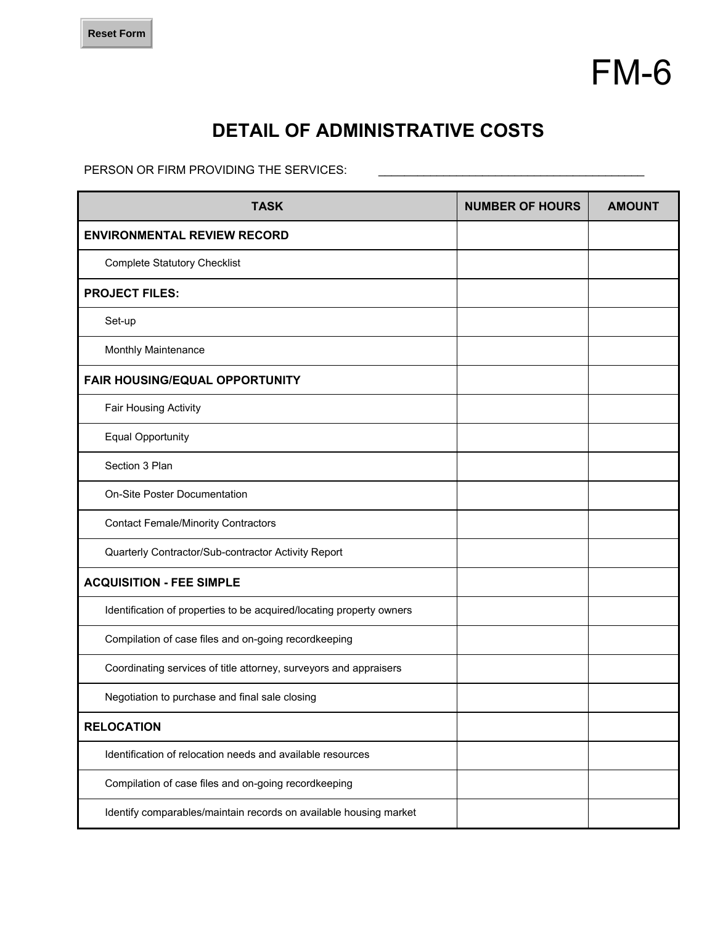

## **DETAIL OF ADMINISTRATIVE COSTS**

PERSON OR FIRM PROVIDING THE SERVICES:

| <b>TASK</b>                                                          | <b>NUMBER OF HOURS</b> | <b>AMOUNT</b> |
|----------------------------------------------------------------------|------------------------|---------------|
| <b>ENVIRONMENTAL REVIEW RECORD</b>                                   |                        |               |
| <b>Complete Statutory Checklist</b>                                  |                        |               |
| <b>PROJECT FILES:</b>                                                |                        |               |
| Set-up                                                               |                        |               |
| Monthly Maintenance                                                  |                        |               |
| <b>FAIR HOUSING/EQUAL OPPORTUNITY</b>                                |                        |               |
| Fair Housing Activity                                                |                        |               |
| <b>Equal Opportunity</b>                                             |                        |               |
| Section 3 Plan                                                       |                        |               |
| On-Site Poster Documentation                                         |                        |               |
| <b>Contact Female/Minority Contractors</b>                           |                        |               |
| Quarterly Contractor/Sub-contractor Activity Report                  |                        |               |
| <b>ACQUISITION - FEE SIMPLE</b>                                      |                        |               |
| Identification of properties to be acquired/locating property owners |                        |               |
| Compilation of case files and on-going recordkeeping                 |                        |               |
| Coordinating services of title attorney, surveyors and appraisers    |                        |               |
| Negotiation to purchase and final sale closing                       |                        |               |
| <b>RELOCATION</b>                                                    |                        |               |
| Identification of relocation needs and available resources           |                        |               |
| Compilation of case files and on-going recordkeeping                 |                        |               |
| Identify comparables/maintain records on available housing market    |                        |               |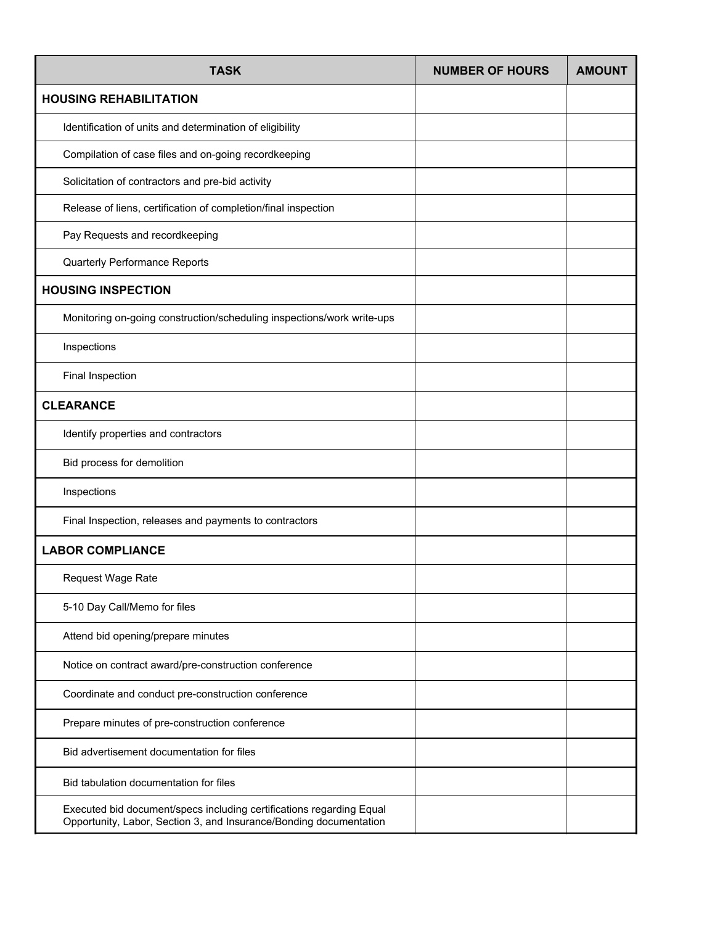| <b>TASK</b>                                                                                                                                | <b>NUMBER OF HOURS</b> | <b>AMOUNT</b> |
|--------------------------------------------------------------------------------------------------------------------------------------------|------------------------|---------------|
| <b>HOUSING REHABILITATION</b>                                                                                                              |                        |               |
| Identification of units and determination of eligibility                                                                                   |                        |               |
| Compilation of case files and on-going recordkeeping                                                                                       |                        |               |
| Solicitation of contractors and pre-bid activity                                                                                           |                        |               |
| Release of liens, certification of completion/final inspection                                                                             |                        |               |
| Pay Requests and recordkeeping                                                                                                             |                        |               |
| Quarterly Performance Reports                                                                                                              |                        |               |
| <b>HOUSING INSPECTION</b>                                                                                                                  |                        |               |
| Monitoring on-going construction/scheduling inspections/work write-ups                                                                     |                        |               |
| Inspections                                                                                                                                |                        |               |
| Final Inspection                                                                                                                           |                        |               |
| <b>CLEARANCE</b>                                                                                                                           |                        |               |
| Identify properties and contractors                                                                                                        |                        |               |
| Bid process for demolition                                                                                                                 |                        |               |
| Inspections                                                                                                                                |                        |               |
| Final Inspection, releases and payments to contractors                                                                                     |                        |               |
| <b>LABOR COMPLIANCE</b>                                                                                                                    |                        |               |
| Request Wage Rate                                                                                                                          |                        |               |
| 5-10 Day Call/Memo for files                                                                                                               |                        |               |
| Attend bid opening/prepare minutes                                                                                                         |                        |               |
| Notice on contract award/pre-construction conference                                                                                       |                        |               |
| Coordinate and conduct pre-construction conference                                                                                         |                        |               |
| Prepare minutes of pre-construction conference                                                                                             |                        |               |
| Bid advertisement documentation for files                                                                                                  |                        |               |
| Bid tabulation documentation for files                                                                                                     |                        |               |
| Executed bid document/specs including certifications regarding Equal<br>Opportunity, Labor, Section 3, and Insurance/Bonding documentation |                        |               |